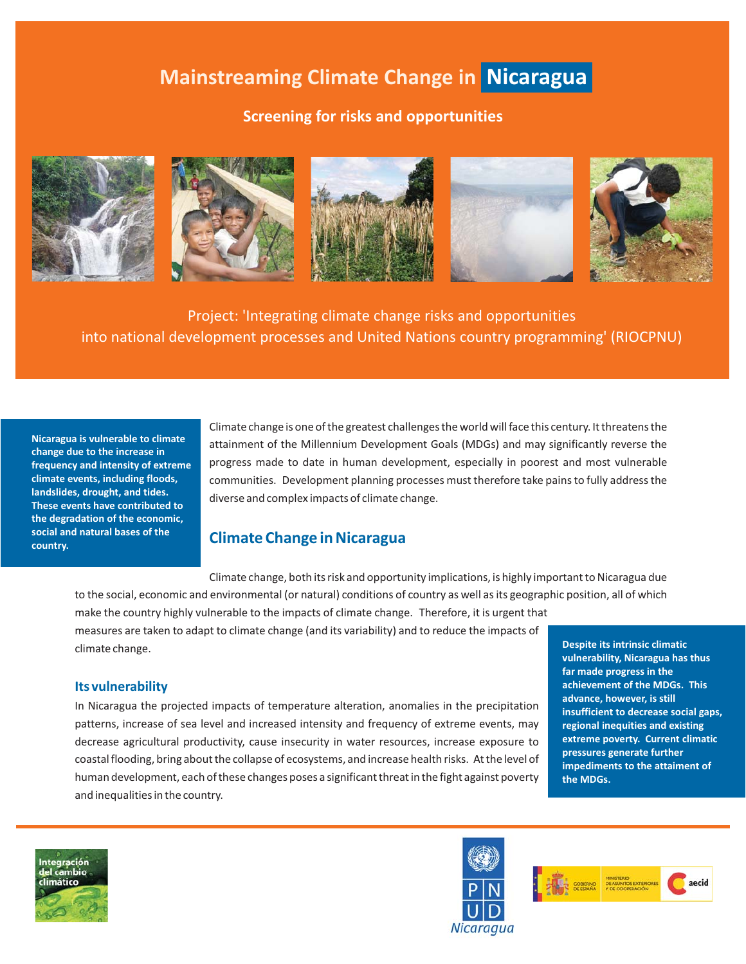# **Mainstreaming Climate Change in Nicaragua**

## **Screening for risks and opportunities**



Project: 'Integrating climate change risks and opportunities into national development processes and United Nations country programming' (RIOCPNU)

**Nicaragua is vulnerable to climate change due to the increase in frequency and intensity of extreme climate events, including floods, landslides, drought, and tides. These events have contributed to the degradation of the economic, social and natural bases of the country.**

Climate change is one of the greatest challenges the world will face this century. It threatens the attainment of the Millennium Development Goals (MDGs) and may significantly reverse the progress made to date in human development, especially in poorest and most vulnerable communities. Development planning processes must therefore take pains to fully address the diverse and complex impacts of climate change.

## **Climate Change in Nicaragua**

Climate change, both its risk and opportunity implications, is highly important to Nicaragua due to the social, economic and environmental (or natural) conditions of country as well as its geographic position, all of which

make the country highly vulnerable to the impacts of climate change. Therefore, it is urgent that measures are taken to adapt to climate change (and its variability) and to reduce the impacts of climate change.

#### **Its vulnerability**

In Nicaragua the projected impacts of temperature alteration, anomalies in the precipitation patterns, increase of sea level and increased intensity and frequency of extreme events, may decrease agricultural productivity, cause insecurity in water resources, increase exposure to coastal flooding, bring about the collapse of ecosystems, and increase health risks. At the level of human development, each of these changes poses a significant threat in the fight against poverty and inequalities in the country.

**Despite its intrinsic climatic vulnerability, Nicaragua has thus far made progress in the achievement of the MDGs. This advance, however, is still insufficient to decrease social gaps, regional inequities and existing extreme poverty. Current climatic pressures generate further impediments to the attaiment of the MDGs.**





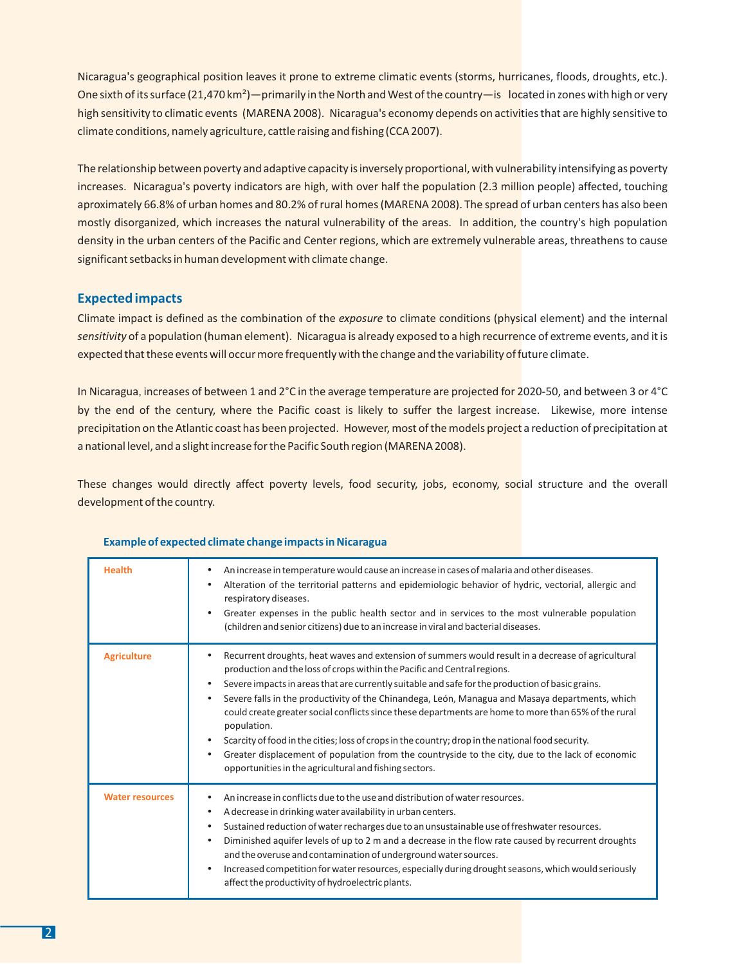Nicaragua's geographical position leaves it prone to extreme climatic events (storms, hurricanes, floods, droughts, etc.). One sixth of its surface (21,470 km<sup>2</sup>) — primarily in the North and West of the country — is located in zones with high or very high sensitivity to climatic events (MARENA 2008). Nicaragua's economy depends on activities that are highly sensitive to climate conditions, namely agriculture, cattle raising and fishing (CCA 2007).

The relationship between poverty and adaptive capacity is inversely proportional, with vulnerability intensifying as poverty increases. Nicaragua's poverty indicators are high, with over half the population (2.3 million people) affected, touching aproximately 66.8% of urban homes and 80.2% of rural homes (MARENA 2008). The spread of urban centers has also been mostly disorganized, which increases the natural vulnerability of the areas. In addition, the country's high population density in the urban centers of the Pacific and Center regions, which are extremely vulnerable areas, threathens to cause significant setbacks in human development with climate change.

### **Expected impacts**

Climate impact is defined as the combination of the exposure to climate conditions (physical element) and the internal sensitivity of a population (human element). Nicaragua is already exposed to a high recurrence of extreme events, and it is expected that these events will occur more frequently with the change and the variability of future climate.

In Nicaragua, increases of between 1 and 2°C in the average temperature are projected for 2020-50, and between 3 or 4°C by the end of the century, where the Pacific coast is likely to suffer the largest increase. Likewise, more intense precipitation on the Atlantic coast has been projected. However, most of the models project a reduction of precipitation at a national level, and a slight increase for the Pacific South region (MARENA 2008).

These changes would directly affect poverty levels, food security, jobs, economy, social structure and the overall development of the country.

| <b>Health</b>          | An increase in temperature would cause an increase in cases of malaria and other diseases.<br>٠<br>Alteration of the territorial patterns and epidemiologic behavior of hydric, vectorial, allergic and<br>respiratory diseases.<br>Greater expenses in the public health sector and in services to the most vulnerable population<br>(children and senior citizens) due to an increase in viral and bacterial diseases.                                                                                                                                                                                                                                                                                                                                                                               |
|------------------------|--------------------------------------------------------------------------------------------------------------------------------------------------------------------------------------------------------------------------------------------------------------------------------------------------------------------------------------------------------------------------------------------------------------------------------------------------------------------------------------------------------------------------------------------------------------------------------------------------------------------------------------------------------------------------------------------------------------------------------------------------------------------------------------------------------|
| <b>Agriculture</b>     | Recurrent droughts, heat waves and extension of summers would result in a decrease of agricultural<br>٠<br>production and the loss of crops within the Pacific and Central regions.<br>Severe impacts in areas that are currently suitable and safe for the production of basic grains.<br>$\bullet$<br>Severe falls in the productivity of the Chinandega, León, Managua and Masaya departments, which<br>٠<br>could create greater social conflicts since these departments are home to more than 65% of the rural<br>population.<br>Scarcity of food in the cities; loss of crops in the country; drop in the national food security.<br>Greater displacement of population from the countryside to the city, due to the lack of economic<br>opportunities in the agricultural and fishing sectors. |
| <b>Water resources</b> | An increase in conflicts due to the use and distribution of water resources.<br>A decrease in drinking water availability in urban centers.<br>٠<br>Sustained reduction of water recharges due to an unsustainable use of freshwater resources.<br>٠<br>Diminished aquifer levels of up to 2 m and a decrease in the flow rate caused by recurrent droughts<br>$\bullet$<br>and the overuse and contamination of underground water sources.<br>Increased competition for water resources, especially during drought seasons, which would seriously<br>$\bullet$<br>affect the productivity of hydroelectric plants.                                                                                                                                                                                    |

#### **Example of expected climate change impacts in Nicaragua**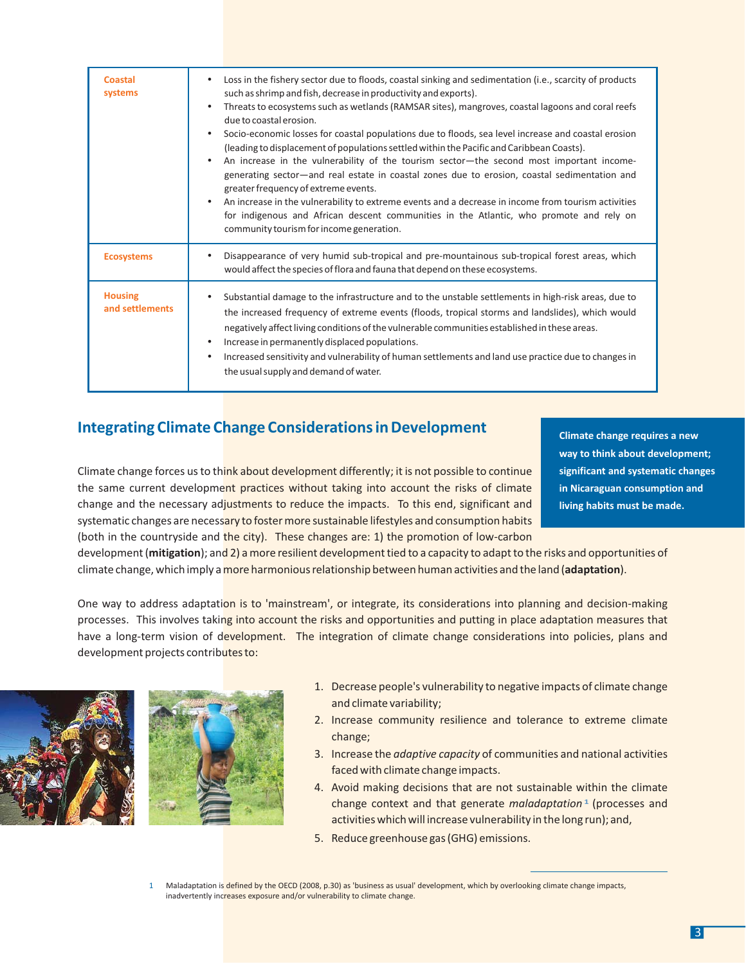| <b>Coastal</b><br>systems         | Loss in the fishery sector due to floods, coastal sinking and sedimentation (i.e., scarcity of products<br>such as shrimp and fish, decrease in productivity and exports).<br>Threats to ecosystems such as wetlands (RAMSAR sites), mangroves, coastal lagoons and coral reefs<br>٠<br>due to coastal erosion.<br>Socio-economic losses for coastal populations due to floods, sea level increase and coastal erosion<br>٠<br>(leading to displacement of populations settled within the Pacific and Caribbean Coasts).<br>An increase in the vulnerability of the tourism sector—the second most important income-<br>generating sector-and real estate in coastal zones due to erosion, coastal sedimentation and<br>greater frequency of extreme events.<br>An increase in the vulnerability to extreme events and a decrease in income from tourism activities<br>$\bullet$<br>for indigenous and African descent communities in the Atlantic, who promote and rely on<br>community tourism for income generation. |
|-----------------------------------|-------------------------------------------------------------------------------------------------------------------------------------------------------------------------------------------------------------------------------------------------------------------------------------------------------------------------------------------------------------------------------------------------------------------------------------------------------------------------------------------------------------------------------------------------------------------------------------------------------------------------------------------------------------------------------------------------------------------------------------------------------------------------------------------------------------------------------------------------------------------------------------------------------------------------------------------------------------------------------------------------------------------------|
| <b>Ecosystems</b>                 | Disappearance of very humid sub-tropical and pre-mountainous sub-tropical forest areas, which<br>would affect the species of flora and fauna that depend on these ecosystems.                                                                                                                                                                                                                                                                                                                                                                                                                                                                                                                                                                                                                                                                                                                                                                                                                                           |
| <b>Housing</b><br>and settlements | Substantial damage to the infrastructure and to the unstable settlements in high-risk areas, due to<br>the increased frequency of extreme events (floods, tropical storms and landslides), which would<br>negatively affect living conditions of the vulnerable communities established in these areas.<br>Increase in permanently displaced populations.<br>$\bullet$<br>Increased sensitivity and vulnerability of human settlements and land use practice due to changes in<br>$\bullet$<br>the usual supply and demand of water.                                                                                                                                                                                                                                                                                                                                                                                                                                                                                    |

## **Integrating Climate Change Considerations in Development**

Climate change forces us to think about development differently; it is not possible to continue the same current development practices without taking into account the risks of climate change and the necessary adjustments to reduce the impacts. To this end, significant and systematic changes are necessary to foster more sustainable lifestyles and consumption habits (both in the countryside and the city). These changes are: 1) the promotion of low-carbon

**Climate change requires a new way to think about development; significant and systematic changes in Nicaraguan consumption and living habits must be made.**

development (mitigation); and 2) a more resilient development tied to a capacity to adapt to the risks and opportunities of climate change, which imply a more harmonious relationship between human activities and the land (adaptation).

One way to address adaptation is to 'mainstream', or integrate, its considerations into planning and decision-making processes. This involves taking into account the risks and opportunities and putting in place adaptation measures that have a long-term vision of development. The integration of climate change considerations into policies, plans and development projects contributes to:





- 1. Decrease people's vulnerability to negative impacts of climate change and climate variability;
- 2. Increase community resilience and tolerance to extreme climate change;
- 3. Increase the *adaptive capacity* of communities and national activities faced with climate change impacts.
- 4. Avoid making decisions that are not sustainable within the climate change context and that generate *maladaptation*<sup>1</sup> (processes and activities which will increase vulnerability in the long run); and,
- 5. Reduce greenhouse gas (GHG) emissions.

Maladaptation is defined by the OECD (2008, p.30) as 'business as usual' development, which by overlooking climate change impacts, inadvertently increases exposure and/or vulnerability to climate change.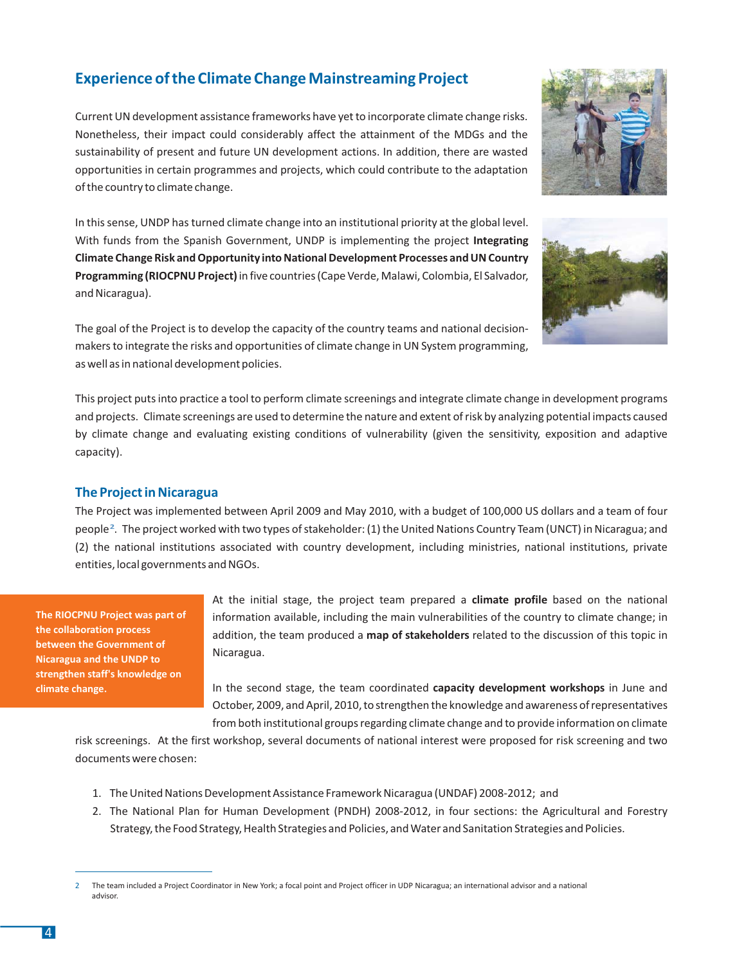## **Experience of the Climate Change Mainstreaming Project**

Current UN development assistance frameworks have yet to incorporate climate change risks. Nonetheless, their impact could considerably affect the attainment of the MDGs and the sustainability of present and future UN development actions. In addition, there are wasted opportunities in certain programmes and projects, which could contribute to the adaptation of the country to climate change.

In this sense, UNDP has turned climate change into an institutional priority at the global level. With funds from the Spanish Government, UNDP is implementing the project **Integrating** Programming (RIOCPNU Project) in five countries (Cape Verde, Malawi, Colombia, El Salvador, and Nicaragua). **Climate Change Risk and Opportunity into National Development Processes and UN Country**

The goal of the Project is to develop the capacity of the country teams and national decisionmakers to integrate the risks and opportunities of climate change in UN System programming, as well as in national development policies.

This project puts into practice a tool to perform climate screenings and integrate climate change in development programs and projects. Climate screenings are used to determine the nature and extent of risk by analyzing potential impacts caused by climate change and evaluating existing conditions of vulnerability (given the sensitivity, exposition and adaptive capacity).

#### **The Project in Nicaragua**

The Project was implemented between April 2009 and May 2010, with a budget of 100,000 US dollars and a team of four people<sup>2</sup>. The project worked with two types of stakeholder: (1) the United Nations Country Team (UNCT) in Nicaragua; and (2) the national institutions associated with country development, including ministries, national institutions, private entities, local governments and NGOs.

**The RIOCPNU Project was part of the collaboration process between the Government of Nicaragua and the UNDP to strengthen staff's knowledge on climate change.**

At the initial stage, the project team prepared a **climate profile** based on the national information available, including the main vulnerabilities of the country to climate change; in addition, the team produced a **map of stakeholders** related to the discussion of this topic in Nicaragua.

In the second stage, the team coordinated capacity development workshops in June and October, 2009, and April, 2010, to strengthen the knowledge and awareness of representatives from both institutional groups regarding climate change and to provide information on climate

risk screenings. At the first workshop, several documents of national interest were proposed for risk screening and two documents were chosen:

- 1. The United Nations Development Assistance Framework Nicaragua (UNDAF) 2008-2012; and
- 2. The National Plan for Human Development (PNDH) 2008-2012, in four sections: the Agricultural and Forestry Strategy, the Food Strategy, Health Strategies and Policies, and Water and Sanitation Strategies and Policies.





<sup>2</sup> The team included a Project Coordinator in New York; a focal point and Project officer in UDP Nicaragua; an international advisor and a national advisor.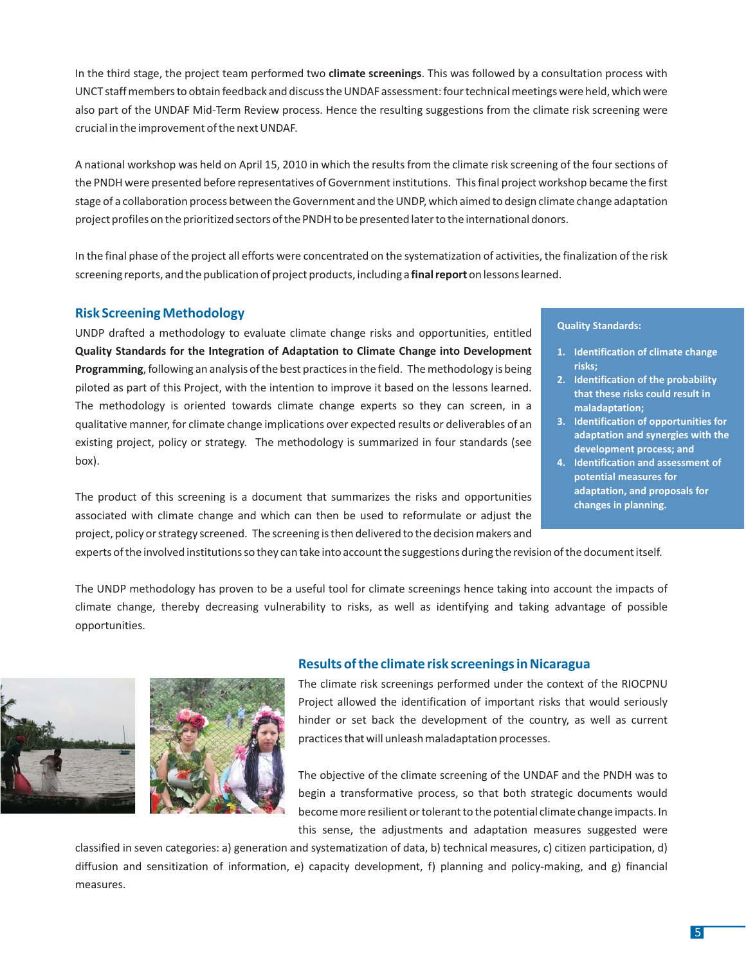In the third stage, the project team performed two **climate screenings**. This was followed by a consultation process with UNCT staff members to obtain feedback and discuss the UNDAF assessment: four technical meetings were held, which were also part of the UNDAF Mid-Term Review process. Hence the resulting suggestions from the climate risk screening were crucial in the improvement of the next UNDAF.

A national workshop was held on April 15, 2010 in which the results from the climate risk screening of the four sections of the PNDH were presented before representatives of Government institutions. This final project workshop became the first stage of a collaboration process between the Government and the UNDP, which aimed to design climate change adaptation project profiles on the prioritized sectors of the PNDH to be presented later to the international donors.

In the final phase of the project all efforts were concentrated on the systematization of activities, the finalization of the risk screening reports, and the publication of project products, including a final report on lessons learned.

#### **Risk Screening Methodology**

UNDP drafted a methodology to evaluate climate change risks and opportunities, entitled Programming, following an analysis of the best practices in the field. The methodology is being piloted as part of this Project, with the intention to improve it based on the lessons learned. The methodology is oriented towards climate change experts so they can screen, in a qualitative manner, for climate change implications over expected results or deliverables of an existing project, policy or strategy. The methodology is summarized in four standards (see box). **Quality Standards for the Integration of Adaptation to Climate Change into Development**

The product of this screening is a document that summarizes the risks and opportunities associated with climate change and which can then be used to reformulate or adjust the project, policy or strategy screened. The screening is then delivered to the decision makers and

#### **Quality Standards:**

- **1. Identification of climate change risks;**
- **2. Identification of the probability that these risks could result in maladaptation;**
- **3. Identification of opportunities for adaptation and synergies with the development process; and**
- **4. Identification and assessment of potential measures for adaptation, and proposals for changes in planning.**

experts of the involved institutions so they can take into account the suggestions during the revision of the document itself.

The UNDP methodology has proven to be a useful tool for climate screenings hence taking into account the impacts of climate change, thereby decreasing vulnerability to risks, as well as identifying and taking advantage of possible opportunities.



#### **Results of the climate risk screenings in Nicaragua**

The climate risk screenings performed under the context of the RIOCPNU Project allowed the identification of important risks that would seriously hinder or set back the development of the country, as well as current practices that will unleash maladaptation processes.

The objective of the climate screening of the UNDAF and the PNDH was to begin a transformative process, so that both strategic documents would become more resilient or tolerant to the potential climate change impacts. In this sense, the adjustments and adaptation measures suggested were

classified in seven categories: a) generation and systematization of data, b) technical measures, c) citizen participation, d) diffusion and sensitization of information, e) capacity development, f) planning and policy-making, and g) financial measures.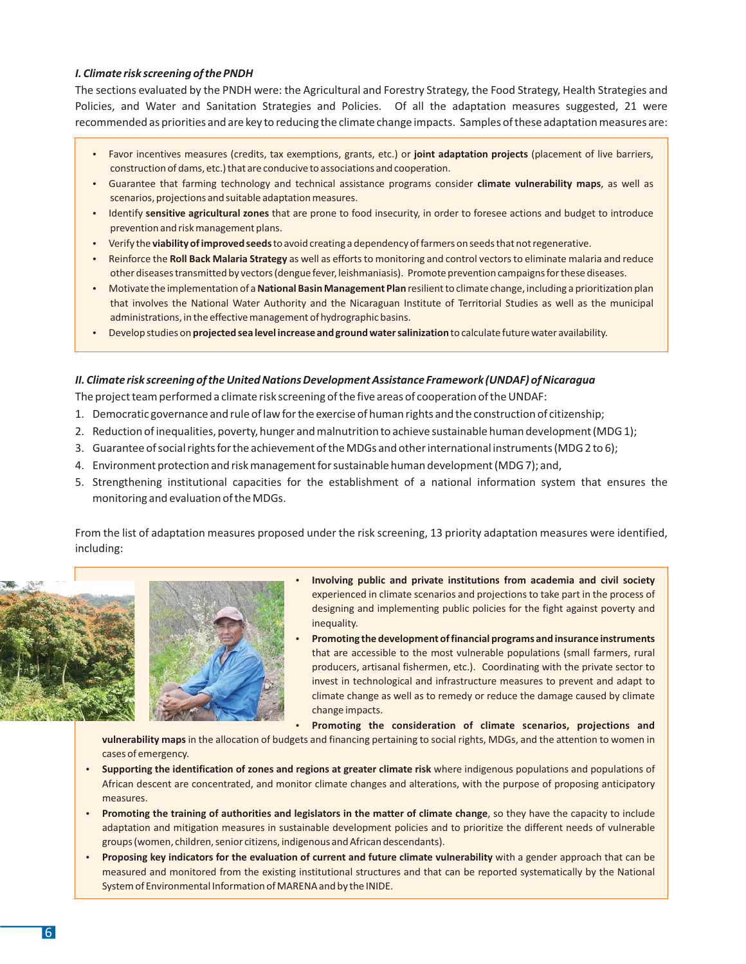#### *I. Climate risk screening of the PNDH*

The sections evaluated by the PNDH were: the Agricultural and Forestry Strategy, the Food Strategy, Health Strategies and Policies, and Water and Sanitation Strategies and Policies. Of all the adaptation measures suggested, 21 were recommended as priorities and are key to reducing the climate change impacts. Samples of these adaptation measures are:

- Favor incentives measures (credits, tax exemptions, grants, etc.) or joint adaptation projects (placement of live barriers, construction of dams, etc.) that are conducive to associations and cooperation.
- **constraction of damp, etc., that are conducted to associations and cooperation.**<br>• Guarantee that farming technology and technical assistance programs consider **climate vulnerability maps**, as well as scenarios, projections and suitable adaptation measures.
- Identify that are prone to food insecurity, in order to foresee actions and budget to introduce **sensitive agricultural zones** prevention and risk management plans.
- Verify the **viability of improved seeds** to avoid creating a dependency of farmers on seeds that not regenerative.
- Reinforce the as well as efforts to monitoring and control vectors to eliminate malaria and reduce **Roll Back Malaria Strategy** other diseases transmitted by vectors (dengue fever, leishmaniasis). Promote prevention campaigns for these diseases.
- Motivate the implementation of a **National Basin Management Plan** resilient to climate change, including a prioritization plan that involves the National Water Authority and the Nicaraguan Institute of Territorial Studies as well as the municipal administrations, in the effective management of hydrographic basins.
- Develop studies on **projected sea level increase and ground water salinization** to calculate future water availability.

#### *II. Climate risk screening of the United Nations Development Assistance Framework (UNDAF) of Nicaragua*

- The project team performed a climate risk screening of the five areas of cooperation of the UNDAF:
- 1. Democratic governance and rule of law for the exercise of human rights and the construction of citizenship;
- 2. Reduction of inequalities, poverty, hunger and malnutrition to achieve sustainable human development (MDG 1);
- 3. Guarantee of social rights for the achievement of the MDGs and other international instruments (MDG 2 to 6);
- 4. Environment protection and risk management for sustainable human development (MDG 7); and,
- 5. Strengthening institutional capacities for the establishment of a national information system that ensures the monitoring and evaluation of the MDGs.

From the list of adaptation measures proposed under the risk screening, 13 priority adaptation measures were identified, including:





- experienced in climate scenarios and projections to take part in the process of designing and implementing public policies for the fight against poverty and inequality. **Involving public and private institutions from academia and civil society**
- that are accessible to the most vulnerable populations (small farmers, rural producers, artisanal fishermen, etc.). Coordinating with the private sector to invest in technological and infrastructure measures to prevent and adapt to climate change as well as to remedy or reduce the damage caused by climate change impacts. **Promoting the development of financial programs and insurance instruments**

**Promoting the consideration of climate scenarios, projections and**

**vulnerability maps** in the allocation of budgets and financing pertaining to social rights, MDGs, and the attention to women in cases of emergency.

- Supporting the identification of zones and regions at greater climate risk where indigenous populations and populations of African descent are concentrated, and monitor climate changes and alterations, with the purpose of proposing anticipatory measures.
- **Promoting the training of authorities and legislators in the matter of climate change**, so they have the capacity to include **Promoting** the training of authorities and legislators in the matter of climate change, so they adaptation and mitigation measures in sustainable development policies and to prioritize the different needs of vulnerable groups (women, children, senior citizens, indigenous and African descendants).
- ender with a group (with an altern, senior enterns, margenous and runcan descendancy.<br>**Proposing key indicators for the evaluation of current and future climate vulnerability** with a gender approach that can be measured and monitored from the existing institutional structures and that can be reported systematically by the National System of Environmental Information of MARENA and by the INIDE.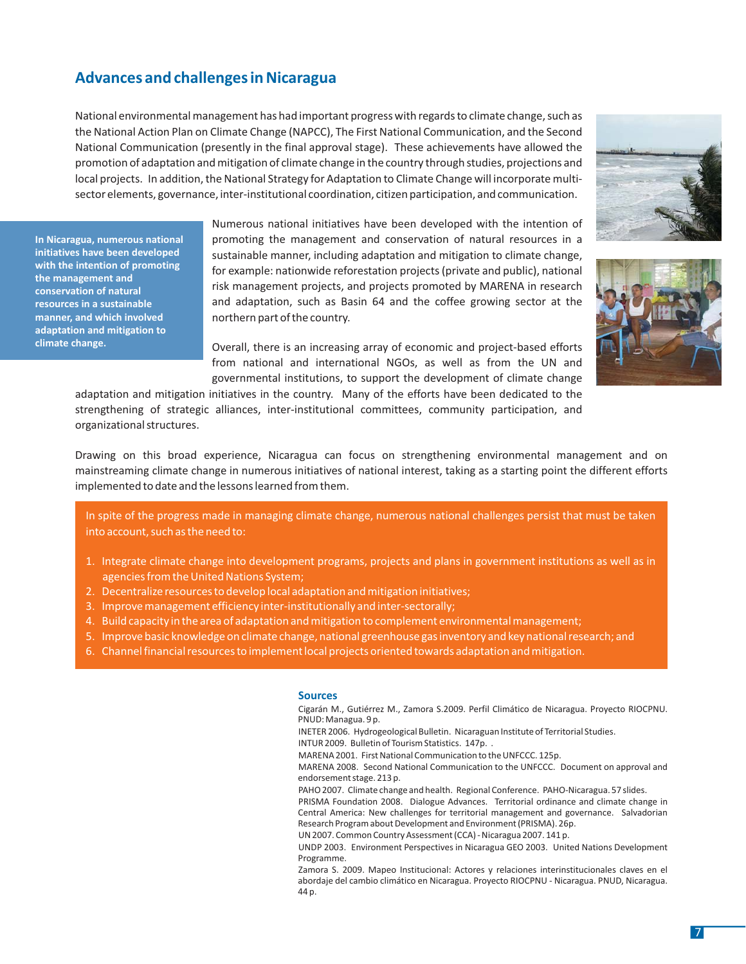## **Advances and challenges in Nicaragua**

National environmental management has had important progress with regards to climate change, such as the National Action Plan on Climate Change (NAPCC), The First National Communication, and the Second National Communication (presently in the final approval stage). These achievements have allowed the promotion of adaptation and mitigation of climate change in the country through studies, projections and local projects. In addition, the National Strategy for Adaptation to Climate Change will incorporate multisector elements, governance, inter-institutional coordination, citizen participation, and communication.

**In Nicaragua, numerous national initiatives have been developed with the intention of promoting the management and conservation of natural resources in a sustainable manner, and which involved adaptation and mitigation to climate change.**

Numerous national initiatives have been developed with the intention of promoting the management and conservation of natural resources in a sustainable manner, including adaptation and mitigation to climate change, for example: nationwide reforestation projects (private and public), national risk management projects, and projects promoted by MARENA in research and adaptation, such as Basin 64 and the coffee growing sector at the northern part of the country.

Overall, there is an increasing array of economic and project-based efforts from national and international NGOs, as well as from the UN and governmental institutions, to support the development of climate change

adaptation and mitigation initiatives in the country. Many of the efforts have been dedicated to the strengthening of strategic alliances, inter-institutional committees, community participation, and organizational structures.

Drawing on this broad experience, Nicaragua can focus on strengthening environmental management and on mainstreaming climate change in numerous initiatives of national interest, taking as a starting point the different efforts implemented to date and the lessons learned from them.

In spite of the progress made in managing climate change, numerous national challenges persist that must be taken into account, such as the need to:

- 1. Integrate climate change into development programs, projects and plans in government institutions as well as in agencies from the United Nations System;
- 2. Decentralize resources to develop local adaptation and mitigation initiatives;
- 3. Improve management efficiency inter-institutionally and inter-sectorally;
- 4. Build capacity in the area of adaptation and mitigation to complement environmental management;
- 5. Improve basic knowledge on climate change, national greenhouse gas inventory and key national research; and
- 6. Channel financial resources to implement local projects oriented towards adaptation and mitigation.

#### **Sources**

Cigarán M., Gutiérrez M., Zamora S.2009. Perfil Climático de Nicaragua. Proyecto RIOCPNU. PNUD: Managua. 9 p. INETER 2006. Hydrogeological Bulletin. Nicaraguan Institute of Territorial Studies. INTUR 2009. Bulletin of Tourism Statistics. 147p. . MARENA 2001. First National Communication to the UNFCCC. 125p. MARENA 2008. Second National Communication to the UNFCCC. Document on approval and endorsement stage. 213 p. PAHO 2007. Climate change and health. Regional Conference. PAHO-Nicaragua. 57 slides. PRISMA Foundation 2008. Dialogue Advances. Territorial ordinance and climate change in Central America: New challenges for territorial management and governance. Salvadorian Research Program about Development and Environment (PRISMA). 26p. UN 2007. Common Country Assessment (CCA) - Nicaragua 2007. 141 p. UNDP 2003. Environment Perspectives in Nicaragua GEO 2003. United Nations Development Programme.

Zamora S. 2009. Mapeo Institucional: Actores y relaciones interinstitucionales claves en el abordaje del cambio climático en Nicaragua. Proyecto RIOCPNU - Nicaragua. PNUD, Nicaragua. 44 p.